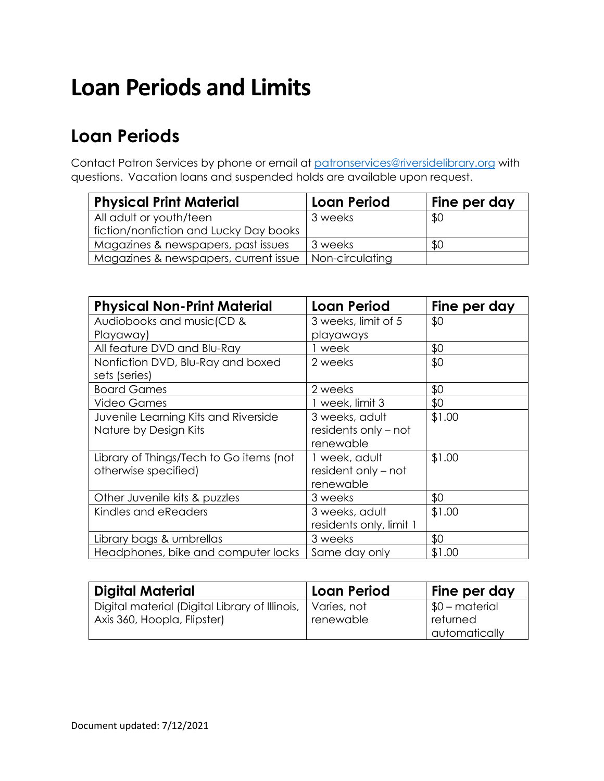# **Loan Periods and Limits**

### **Loan Periods**

Contact Patron Services by phone or email at [patronservices@riversidelibrary.org](mailto:patronservices@riversidelibrary.org) with questions. Vacation loans and suspended holds are available upon request.

| <b>Physical Print Material</b>         | <b>Loan Period</b> | Fine per day |
|----------------------------------------|--------------------|--------------|
| All adult or youth/teen                | 3 weeks            | \$0          |
| fiction/nonfiction and Lucky Day books |                    |              |
| Magazines & newspapers, past issues    | 3 weeks            | \$0          |
| Magazines & newspapers, current issue  | Non-circulating    |              |

| <b>Physical Non-Print Material</b>      | <b>Loan Period</b>      | Fine per day |
|-----------------------------------------|-------------------------|--------------|
| Audiobooks and music (CD &              | 3 weeks, limit of 5     | \$0          |
| Playaway)                               | playaways               |              |
| All feature DVD and Blu-Ray             | l week                  | \$0          |
| Nonfiction DVD, Blu-Ray and boxed       | 2 weeks                 | \$0          |
| sets (series)                           |                         |              |
| <b>Board Games</b>                      | 2 weeks                 | \$0          |
| <b>Video Games</b>                      | 1 week, limit 3         | \$0          |
| Juvenile Learning Kits and Riverside    | 3 weeks, adult          | \$1.00       |
| Nature by Design Kits                   | residents only – not    |              |
|                                         | renewable               |              |
| Library of Things/Tech to Go items (not | 1 week, adult           | \$1.00       |
| otherwise specified)                    | resident only – not     |              |
|                                         | renewable               |              |
| Other Juvenile kits & puzzles           | 3 weeks                 | \$0          |
| Kindles and eReaders                    | 3 weeks, adult          | \$1.00       |
|                                         | residents only, limit 1 |              |
| Library bags & umbrellas                | 3 weeks                 | \$0          |
| Headphones, bike and computer locks     | Same day only           | \$1.00       |

| <b>Digital Material</b>                                                                     | l Loan Period | Fine per day                |
|---------------------------------------------------------------------------------------------|---------------|-----------------------------|
| Digital material (Digital Library of Illinois,   Varies, not<br>Axis 360, Hoopla, Flipster) | renewable     | $$0$ – material<br>returned |
|                                                                                             |               | automatically               |